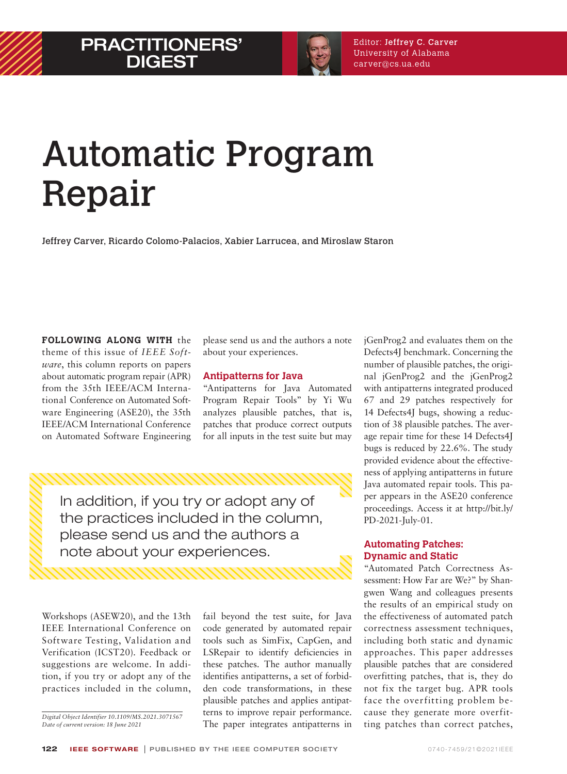

# Automatic Program Repair

Jeffrey Carver, Ricardo Colomo-Palacios, Xabier Larrucea, and Miroslaw Staron

**FOLLOWING ALONG WITH** the theme of this issue of *IEEE Software*, this column reports on papers about automatic program repair (APR) from the 35th IEEE/ACM International Conference on Automated Software Engineering (ASE20), the 35th IEEE/ACM International Conference on Automated Software Engineering please send us and the authors a note about your experiences.

# **Antipatterns for Java**

 "Antipatterns for Java Automated Program Repair Tools" by Yi Wu analyzes plausible patches, that is, patches that produce correct outputs for all inputs in the test suite but may

In addition, if you try or adopt any of the practices included in the column, please send us and the authors a note about your experiences.

Workshops (ASEW20), and the 13th IEEE International Conference on Software Testing, Validation and Verification (ICST20). Feedback or suggestions are welcome. In addition, if you try or adopt any of the practices included in the column,

*Digital Object Identifier 10.1109/MS.2021.3071567 Date of current version: 18 June 2021*

fail beyond the test suite, for Java code generated by automated repair tools such as SimFix, CapGen, and LSRepair to identify deficiencies in these patches. The author manually identifies antipatterns, a set of forbidden code transformations, in these plausible patches and applies antipatterns to improve repair performance. The paper integrates antipatterns in

jGenProg2 and evaluates them on the Defects4J benchmark. Concerning the number of plausible patches, the original jGenProg2 and the jGenProg2 with antipatterns integrated produced 67 and 29 patches respectively for 14 Defects4J bugs, showing a reduction of 38 plausible patches. The average repair time for these 14 Defects4J bugs is reduced by 22.6%. The study provided evidence about the effectiveness of applying antipatterns in future Java automated repair tools. This paper appears in the ASE20 conference proceedings. Access it at http://bit.ly/ PD-2021-July-01.

# **Automating Patches: Dynamic and Static**

"Automated Patch Correctness Assessment: How Far are We?" by Shangwen Wang and colleagues presents the results of an empirical study on the effectiveness of automated patch correctness assessment techniques, including both static and dynamic approaches. This paper addresses plausible patches that are considered overfitting patches, that is, they do not fix the target bug. APR tools face the overfitting problem because they generate more overfitting patches than correct patches,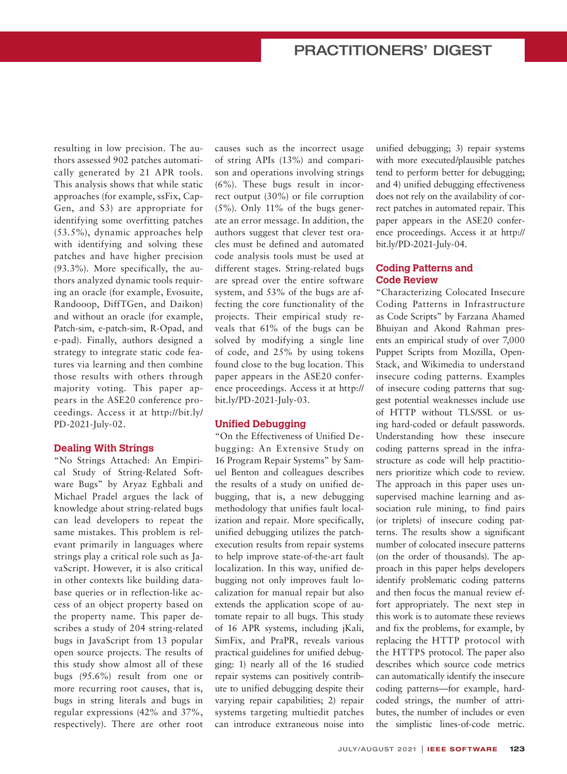# PRACTITIONERS' DIGEST

resulting in low precision. The authors assessed 902 patches automatically generated by 21 APR tools. This analysis shows that while static approaches (for example, ssFix, Cap-Gen, and S3) are appropriate for identifying some overfitting patches (53.5%), dynamic approaches help with identifying and solving these patches and have higher precision (93.3%). More specifically, the authors analyzed dynamic tools requiring an oracle (for example, Evosuite, Randooop, DiffTGen, and Daikon) and without an oracle (for example, Patch-sim, e-patch-sim, R-Opad, and e-pad). Finally, authors designed a strategy to integrate static code features via learning and then combine those results with others through majority voting. This paper appears in the ASE20 conference proceedings. Access it at http://bit.ly/ PD-2021-July-02.

#### **Dealing With Strings**

"No Strings Attached: An Empirical Study of String-Related Software Bugs" by Aryaz Eghbali and Michael Pradel argues the lack of knowledge about string-related bugs can lead developers to repeat the same mistakes. This problem is relevant primarily in languages where strings play a critical role such as JavaScript. However, it is also critical in other contexts like building database queries or in reflection-like access of an object property based on the property name. This paper describes a study of 204 string-related bugs in JavaScript from 13 popular open source projects. The results of this study show almost all of these bugs (95.6%) result from one or more recurring root causes, that is, bugs in string literals and bugs in regular expressions (42% and 37%, respectively). There are other root causes such as the incorrect usage of string APIs (13%) and comparison and operations involving strings (6%). These bugs result in incorrect output (30%) or file corruption (5%). Only 11% of the bugs generate an error message. In addition, the authors suggest that clever test oracles must be defined and automated code analysis tools must be used at different stages. String-related bugs are spread over the entire software system, and 53% of the bugs are affecting the core functionality of the projects. Their empirical study reveals that 61% of the bugs can be solved by modifying a single line of code, and 25% by using tokens found close to the bug location. This paper appears in the ASE20 conference proceedings. Access it at http:// bit.ly/PD-2021-July-03.

# **Unified Debugging**

"On the Effectiveness of Unified Debugging: An Extensive Study on 16 Program Repair Systems" by Samuel Benton and colleagues describes the results of a study on unified debugging, that is, a new debugging methodology that unifies fault localization and repair. More specifically, unified debugging utilizes the patchexecution results from repair systems to help improve state-of-the-art fault localization. In this way, unified debugging not only improves fault localization for manual repair but also extends the application scope of automate repair to all bugs. This study of 16 APR systems, including jKali, SimFix, and PraPR, reveals various practical guidelines for unified debugging: 1) nearly all of the 16 studied repair systems can positively contribute to unified debugging despite their varying repair capabilities; 2) repair systems targeting multiedit patches can introduce extraneous noise into unified debugging; 3) repair systems with more executed/plausible patches tend to perform better for debugging; and 4) unified debugging effectiveness does not rely on the availability of correct patches in automated repair. This paper appears in the ASE20 conference proceedings. Access it at http:// bit.ly/PD-2021-July-04.

## **Coding Patterns and Code Review**

"Characterizing Colocated Insecure Coding Patterns in Infrastructure as Code Scripts" by Farzana Ahamed Bhuiyan and Akond Rahman presents an empirical study of over 7,000 Puppet Scripts from Mozilla, Open-Stack, and Wikimedia to understand insecure coding patterns. Examples of insecure coding patterns that suggest potential weaknesses include use of HTTP without TLS/SSL or using hard-coded or default passwords. Understanding how these insecure coding patterns spread in the infrastructure as code will help practitioners prioritize which code to review. The approach in this paper uses unsupervised machine learning and association rule mining, to find pairs (or triplets) of insecure coding patterns. The results show a significant number of colocated insecure patterns (on the order of thousands). The approach in this paper helps developers identify problematic coding patterns and then focus the manual review effort appropriately. The next step in this work is to automate these reviews and fix the problems, for example, by replacing the HTTP protocol with the HTTPS protocol. The paper also describes which source code metrics can automatically identify the insecure coding patterns—for example, hardcoded strings, the number of attributes, the number of includes or even the simplistic lines-of-code metric.